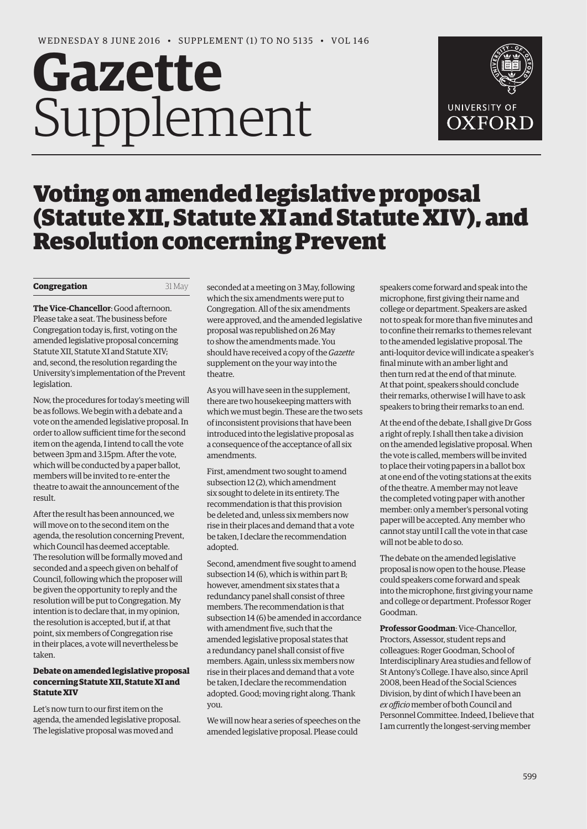# **Gazette** Supplement



# Voting on amended legislative proposal (Statute XII, Statute XI and Statute XIV), and Resolution concerning Prevent

#### **Congregation** 31 May

**The Vice-Chancellor**: Good afternoon. Please take a seat. The business before Congregation today is, first, voting on the amended legislative proposal concerning Statute XII, Statute XI and Statute XIV; and, second, the resolution regarding the University's implementation of the Prevent legislation.

Now, the procedures for today's meeting will be as follows. We begin with a debate and a vote on the amended legislative proposal. In order to allow sufficient time for the second item on the agenda, I intend to call the vote between 3pm and 3.15pm. After the vote, which will be conducted by a paper ballot, members will be invited to re-enter the theatre to await the announcement of the result.

After the result has been announced, we will move on to the second item on the agenda, the resolution concerning Prevent, which Council has deemed acceptable. The resolution will be formally moved and seconded and a speech given on behalf of Council, following which the proposer will be given the opportunity to reply and the resolution will be put to Congregation. My intention is to declare that, in my opinion, the resolution is accepted, but if, at that point, six members of Congregation rise in their places, a vote will nevertheless be taken.

# **Debate on amended legislative proposal concerning Statute XII, Statute XI and Statute XIV**

Let's now turn to our first item on the agenda, the amended legislative proposal. The legislative proposal was moved and

seconded at a meeting on 3 May, following which the six amendments were put to Congregation. All of the six amendments were approved, and the amended legislative proposal was republished on 26 May to show the amendments made. You should have received a copy of the *Gazette* supplement on the your way into the theatre.

As you will have seen in the supplement, there are two housekeeping matters with which we must begin. These are the two sets of inconsistent provisions that have been introduced into the legislative proposal as a consequence of the acceptance of all six amendments.

First, amendment two sought to amend subsection 12 (2), which amendment six sought to delete in its entirety. The recommendation is that this provision be deleted and, unless six members now rise in their places and demand that a vote be taken, I declare the recommendation adopted.

Second, amendment five sought to amend subsection 14 (6), which is within part B; however, amendment six states that a redundancy panel shall consist of three members. The recommendation is that subsection 14 (6) be amended in accordance with amendment five, such that the amended legislative proposal states that a redundancy panel shall consist of five members. Again, unless six members now rise in their places and demand that a vote be taken, I declare the recommendation adopted. Good; moving right along. Thank you.

We will now hear a series of speeches on the amended legislative proposal. Please could

speakers come forward and speak into the microphone, first giving their name and college or department. Speakers are asked not to speak for more than five minutes and to confine their remarks to themes relevant to the amended legislative proposal. The anti-loquitor device will indicate a speaker's final minute with an amber light and then turn red at the end of that minute. At that point, speakers should conclude their remarks, otherwise I will have to ask speakers to bring their remarks to an end.

At the end of the debate, I shall give Dr Goss a right of reply. I shall then take a division on the amended legislative proposal. When the vote is called, members will be invited to place their voting papers in a ballot box at one end of the voting stations at the exits of the theatre. A member may not leave the completed voting paper with another member: only a member's personal voting paper will be accepted. Any member who cannot stay until I call the vote in that case will not be able to do so.

The debate on the amended legislative proposal is now open to the house. Please could speakers come forward and speak into the microphone, first giving your name and college or department. Professor Roger Goodman.

**Professor Goodman**: Vice-Chancellor, Proctors, Assessor, student reps and colleagues: Roger Goodman, School of Interdisciplinary Area studies and fellow of St Antony's College. I have also, since April 2008, been Head of the Social Sciences Division, by dint of which I have been an *ex officio* member of both Council and Personnel Committee. Indeed, I believe that I am currently the longest-serving member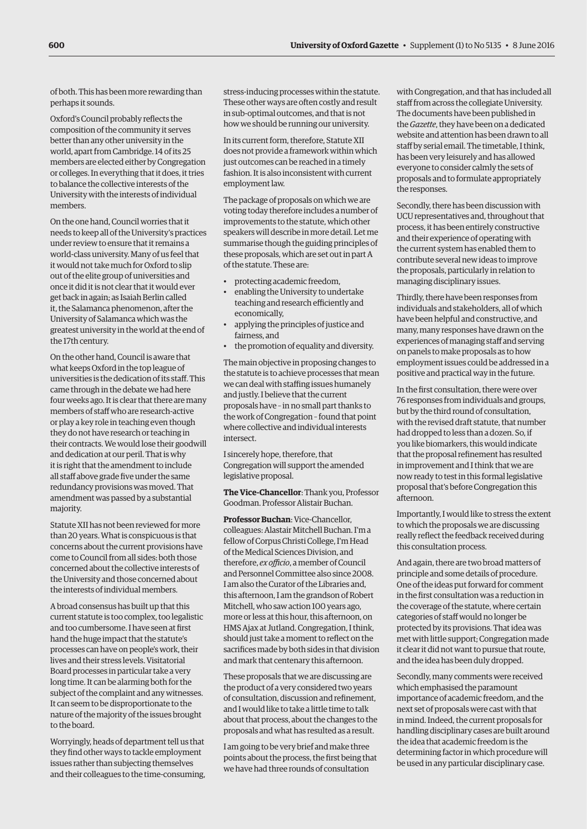of both. This has been more rewarding than perhaps it sounds.

Oxford's Council probably reflects the composition of the community it serves better than any other university in the world, apart from Cambridge. 14 of its 25 members are elected either by Congregation or colleges. In everything that it does, it tries to balance the collective interests of the University with the interests of individual members.

On the one hand, Council worries that it needs to keep all of the University's practices under review to ensure that it remains a world-class university. Many of us feel that it would not take much for Oxford to slip out of the elite group of universities and once it did it is not clear that it would ever get back in again; as Isaiah Berlin called it, the Salamanca phenomenon, after the University of Salamanca which was the greatest university in the world at the end of the 17th century.

On the other hand, Council is aware that what keeps Oxford in the top league of universities is the dedication of its staff. This came through in the debate we had here four weeks ago. It is clear that there are many members of staff who are research-active or play a key role in teaching even though they do not have research or teaching in their contracts. We would lose their goodwill and dedication at our peril. That is why it is right that the amendment to include all staff above grade five under the same redundancy provisions was moved. That amendment was passed by a substantial majority.

Statute XII has not been reviewed for more than 20 years. What is conspicuous is that concerns about the current provisions have come to Council from all sides: both those concerned about the collective interests of the University and those concerned about the interests of individual members.

A broad consensus has built up that this current statute is too complex, too legalistic and too cumbersome. I have seen at first hand the huge impact that the statute's processes can have on people's work, their lives and their stress levels. Visitatorial Board processes in particular take a very long time. It can be alarming both for the subject of the complaint and any witnesses. It can seem to be disproportionate to the nature of the majority of the issues brought to the board.

Worryingly, heads of department tell us that they find other ways to tackle employment issues rather than subjecting themselves and their colleagues to the time-consuming, stress-inducing processes within the statute. These other ways are often costly and result in sub-optimal outcomes, and that is not how we should be running our university.

In its current form, therefore, Statute XII does not provide a framework within which just outcomes can be reached in a timely fashion. It is also inconsistent with current employment law.

The package of proposals on which we are voting today therefore includes a number of improvements to the statute, which other speakers will describe in more detail. Let me summarise though the guiding principles of these proposals, which are set out in part A of the statute. These are:

- protecting academic freedom,
- enabling the University to undertake teaching and research efficiently and economically,
- applying the principles of justice and fairness, and
- the promotion of equality and diversity.

The main objective in proposing changes to the statute is to achieve processes that mean we can deal with staffing issues humanely and justly. I believe that the current proposals have – in no small part thanks to the work of Congregation – found that point where collective and individual interests intersect.

I sincerely hope, therefore, that Congregation will support the amended legislative proposal.

**The Vice-Chancellor**: Thank you, Professor Goodman. Professor Alistair Buchan.

**Professor Buchan**: Vice-Chancellor, colleagues: Alastair Mitchell Buchan. I'm a fellow of Corpus Christi College, I'm Head of the Medical Sciences Division, and therefore, *ex officio*, a member of Council and Personnel Committee also since 2008. I am also the Curator of the Libraries and, this afternoon, I am the grandson of Robert Mitchell, who saw action 100 years ago, more or less at this hour, this afternoon, on HMS Ajax at Jutland. Congregation, I think, should just take a moment to reflect on the sacrifices made by both sides in that division and mark that centenary this afternoon.

These proposals that we are discussing are the product of a very considered two years of consultation, discussion and refinement, and I would like to take a little time to talk about that process, about the changes to the proposals and what has resulted as a result.

I am going to be very brief and make three points about the process, the first being that we have had three rounds of consultation

with Congregation, and that has included all staff from across the collegiate University. The documents have been published in the *Gazette*, they have been on a dedicated website and attention has been drawn to all staff by serial email. The timetable, I think, has been very leisurely and has allowed everyone to consider calmly the sets of proposals and to formulate appropriately the responses.

Secondly, there has been discussion with UCU representatives and, throughout that process, it has been entirely constructive and their experience of operating with the current system has enabled them to contribute several new ideas to improve the proposals, particularly in relation to managing disciplinary issues.

Thirdly, there have been responses from individuals and stakeholders, all of which have been helpful and constructive, and many, many responses have drawn on the experiences of managing staff and serving on panels to make proposals as to how employment issues could be addressed in a positive and practical way in the future.

In the first consultation, there were over 76 responses from individuals and groups, but by the third round of consultation, with the revised draft statute, that number had dropped to less than a dozen. So, if you like biomarkers, this would indicate that the proposal refinement has resulted in improvement and I think that we are now ready to test in this formal legislative proposal that's before Congregation this afternoon.

Importantly, I would like to stress the extent to which the proposals we are discussing really reflect the feedback received during this consultation process.

And again, there are two broad matters of principle and some details of procedure. One of the ideas put forward for comment in the first consultation was a reduction in the coverage of the statute, where certain categories of staff would no longer be protected by its provisions. That idea was met with little support; Congregation made it clear it did not want to pursue that route, and the idea has been duly dropped.

Secondly, many comments were received which emphasised the paramount importance of academic freedom, and the next set of proposals were cast with that in mind. Indeed, the current proposals for handling disciplinary cases are built around the idea that academic freedom is the determining factor in which procedure will be used in any particular disciplinary case.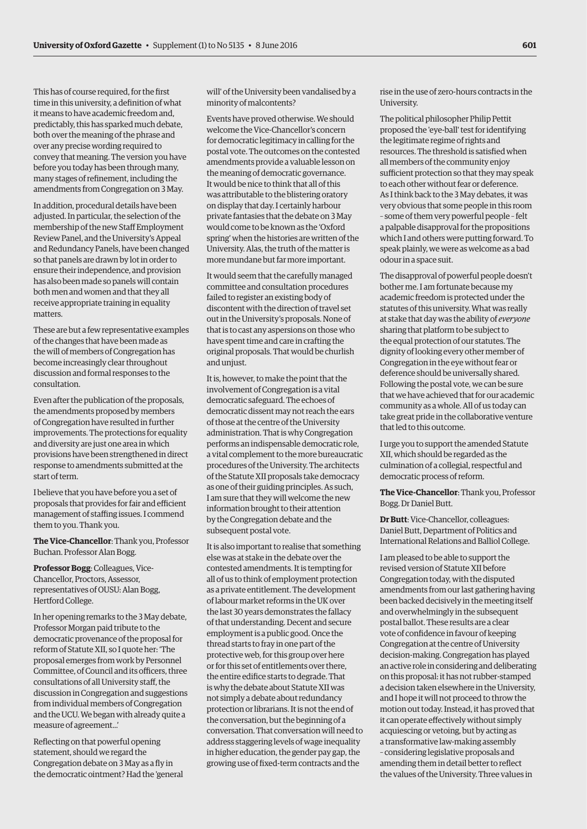This has of course required, for the first time in this university, a definition of what it means to have academic freedom and, predictably, this has sparked much debate, both over the meaning of the phrase and over any precise wording required to convey that meaning. The version you have before you today has been through many, many stages of refinement, including the amendments from Congregation on 3 May.

In addition, procedural details have been adjusted. In particular, the selection of the membership of the new Staff Employment Review Panel, and the University's Appeal and Redundancy Panels, have been changed so that panels are drawn by lot in order to ensure their independence, and provision has also been made so panels will contain both men and women and that they all receive appropriate training in equality matters.

These are but a few representative examples of the changes that have been made as the will of members of Congregation has become increasingly clear throughout discussion and formal responses to the consultation.

Even after the publication of the proposals, the amendments proposed by members of Congregation have resulted in further improvements. The protections for equality and diversity are just one area in which provisions have been strengthened in direct response to amendments submitted at the start of term.

I believe that you have before you a set of proposals that provides for fair and efficient management of staffing issues. I commend them to you. Thank you.

**The Vice-Chancellor**: Thank you, Professor Buchan. Professor Alan Bogg.

**Professor Bogg**: Colleagues, Vice-Chancellor, Proctors, Assessor, representatives of OUSU: Alan Bogg, Hertford College.

In her opening remarks to the 3 May debate, Professor Morgan paid tribute to the democratic provenance of the proposal for reform of Statute XII, so I quote her: 'The proposal emerges from work by Personnel Committee, of Council and its officers, three consultations of all University staff, the discussion in Congregation and suggestions from individual members of Congregation and the UCU. We began with already quite a measure of agreement...'

Reflecting on that powerful opening statement, should we regard the Congregation debate on 3 May as a fly in the democratic ointment? Had the 'general will' of the University been vandalised by a minority of malcontents?

Events have proved otherwise. We should welcome the Vice-Chancellor's concern for democratic legitimacy in calling for the postal vote. The outcomes on the contested amendments provide a valuable lesson on the meaning of democratic governance. It would be nice to think that all of this was attributable to the blistering oratory on display that day. I certainly harbour private fantasies that the debate on 3 May would come to be known as the 'Oxford spring' when the histories are written of the University. Alas, the truth of the matter is more mundane but far more important.

It would seem that the carefully managed committee and consultation procedures failed to register an existing body of discontent with the direction of travel set out in the University's proposals. None of that is to cast any aspersions on those who have spent time and care in crafting the original proposals. That would be churlish and unjust.

It is, however, to make the point that the involvement of Congregation is a vital democratic safeguard. The echoes of democratic dissent may not reach the ears of those at the centre of the University administration. That is why Congregation performs an indispensable democratic role, a vital complement to the more bureaucratic procedures of the University. The architects of the Statute XII proposals take democracy as one of their guiding principles. As such, I am sure that they will welcome the new information brought to their attention by the Congregation debate and the subsequent postal vote.

It is also important to realise that something else was at stake in the debate over the contested amendments. It is tempting for all of us to think of employment protection as a private entitlement. The development of labour market reforms in the UK over the last 30 years demonstrates the fallacy of that understanding. Decent and secure employment is a public good. Once the thread starts to fray in one part of the protective web, for this group over here or for this set of entitlements over there, the entire edifice starts to degrade. That is why the debate about Statute XII was not simply a debate about redundancy protection or librarians. It is not the end of the conversation, but the beginning of a conversation. That conversation will need to address staggering levels of wage inequality in higher education, the gender pay gap, the growing use of fixed-term contracts and the

rise in the use of zero-hours contracts in the University.

The political philosopher Philip Pettit proposed the 'eye-ball' test for identifying the legitimate regime of rights and resources. The threshold is satisfied when all members of the community enjoy sufficient protection so that they may speak to each other without fear or deference. As I think back to the 3 May debates, it was very obvious that some people in this room – some of them very powerful people – felt a palpable disapproval for the propositions which I and others were putting forward. To speak plainly, we were as welcome as a bad odour in a space suit.

The disapproval of powerful people doesn't bother me. I am fortunate because my academic freedom is protected under the statutes of this university. What was really at stake that day was the ability of *everyone* sharing that platform to be subject to the equal protection of our statutes. The dignity of looking every other member of Congregation in the eye without fear or deference should be universally shared. Following the postal vote, we can be sure that we have achieved that for our academic community as a whole. All of us today can take great pride in the collaborative venture that led to this outcome.

I urge you to support the amended Statute XII, which should be regarded as the culmination of a collegial, respectful and democratic process of reform.

**The Vice-Chancellor**: Thank you, Professor Bogg. Dr Daniel Butt.

**Dr Butt**: Vice-Chancellor, colleagues: Daniel Butt, Department of Politics and International Relations and Balliol College.

I am pleased to be able to support the revised version of Statute XII before Congregation today, with the disputed amendments from our last gathering having been backed decisively in the meeting itself and overwhelmingly in the subsequent postal ballot. These results are a clear vote of confidence in favour of keeping Congregation at the centre of University decision-making. Congregation has played an active role in considering and deliberating on this proposal: it has not rubber-stamped a decision taken elsewhere in the University, and I hope it will not proceed to throw the motion out today. Instead, it has proved that it can operate effectively without simply acquiescing or vetoing, but by acting as a transformative law-making assembly – considering legislative proposals and amending them in detail better to reflect the values of the University. Three values in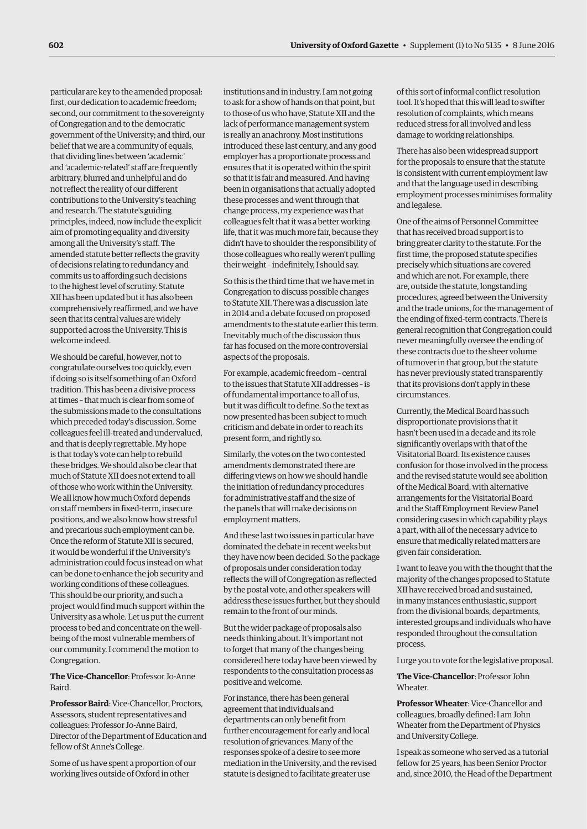particular are key to the amended proposal: first, our dedication to academic freedom; second, our commitment to the sovereignty of Congregation and to the democratic government of the University; and third, our belief that we are a community of equals, that dividing lines between 'academic' and 'academic-related' staff are frequently arbitrary, blurred and unhelpful and do not reflect the reality of our different contributions to the University's teaching and research. The statute's guiding principles, indeed, now include the explicit aim of promoting equality and diversity among all the University's staff. The amended statute better reflects the gravity of decisions relating to redundancy and commits us to affording such decisions to the highest level of scrutiny. Statute XII has been updated but it has also been comprehensively reaffirmed, and we have seen that its central values are widely supported across the University. This is welcome indeed.

We should be careful, however, not to congratulate ourselves too quickly, even if doing so is itself something of an Oxford tradition. This has been a divisive process at times – that much is clear from some of the submissions made to the consultations which preceded today's discussion. Some colleagues feel ill-treated and undervalued, and that is deeply regrettable. My hope is that today's vote can help to rebuild these bridges. We should also be clear that much of Statute XII does not extend to all of those who work within the University. We all know how much Oxford depends on staff members in fixed-term, insecure positions, and we also know how stressful and precarious such employment can be. Once the reform of Statute XII is secured, it would be wonderful if the University's administration could focus instead on what can be done to enhance the job security and working conditions of these colleagues. This should be our priority, and such a project would find much support within the University as a whole. Let us put the current process to bed and concentrate on the wellbeing of the most vulnerable members of our community. I commend the motion to Congregation.

**The Vice-Chancellor**: Professor Jo-Anne Baird.

**Professor Baird**: Vice-Chancellor, Proctors, Assessors, student representatives and colleagues: Professor Jo-Anne Baird, Director of the Department of Education and fellow of St Anne's College.

Some of us have spent a proportion of our working lives outside of Oxford in other

institutions and in industry. I am not going to ask for a show of hands on that point, but to those of us who have, Statute XII and the lack of performance management system is really an anachrony. Most institutions introduced these last century, and any good employer has a proportionate process and ensures that it is operated within the spirit so that it is fair and measured. And having been in organisations that actually adopted these processes and went through that change process, my experience was that colleagues felt that it was a better working life, that it was much more fair, because they didn't have to shoulder the responsibility of those colleagues who really weren't pulling their weight – indefinitely, I should say.

So this is the third time that we have met in Congregation to discuss possible changes to Statute XII. There was a discussion late in 2014 and a debate focused on proposed amendments to the statute earlier this term. Inevitably much of the discussion thus far has focused on the more controversial aspects of the proposals.

For example, academic freedom – central to the issues that Statute XII addresses – is of fundamental importance to all of us, but it was difficult to define. So the text as now presented has been subject to much criticism and debate in order to reach its present form, and rightly so.

Similarly, the votes on the two contested amendments demonstrated there are differing views on how we should handle the initiation of redundancy procedures for administrative staff and the size of the panels that will make decisions on employment matters.

And these last two issues in particular have dominated the debate in recent weeks but they have now been decided. So the package of proposals under consideration today reflects the will of Congregation as reflected by the postal vote, and other speakers will address these issues further, but they should remain to the front of our minds.

But the wider package of proposals also needs thinking about. It's important not to forget that many of the changes being considered here today have been viewed by respondents to the consultation process as positive and welcome.

For instance, there has been general agreement that individuals and departments can only benefit from further encouragement for early and local resolution of grievances. Many of the responses spoke of a desire to see more mediation in the University, and the revised statute is designed to facilitate greater use

of this sort of informal conflict resolution tool. It's hoped that this will lead to swifter resolution of complaints, which means reduced stress for all involved and less damage to working relationships.

There has also been widespread support for the proposals to ensure that the statute is consistent with current employment law and that the language used in describing employment processes minimises formality and legalese.

One of the aims of Personnel Committee that has received broad support is to bring greater clarity to the statute. For the first time, the proposed statute specifies precisely which situations are covered and which are not. For example, there are, outside the statute, longstanding procedures, agreed between the University and the trade unions, for the management of the ending of fixed-term contracts. There is general recognition that Congregation could never meaningfully oversee the ending of these contracts due to the sheer volume of turnover in that group, but the statute has never previously stated transparently that its provisions don't apply in these circumstances.

Currently, the Medical Board has such disproportionate provisions that it hasn't been used in a decade and its role significantly overlaps with that of the Visitatorial Board. Its existence causes confusion for those involved in the process and the revised statute would see abolition of the Medical Board, with alternative arrangements for the Visitatorial Board and the Staff Employment Review Panel considering cases in which capability plays a part, with all of the necessary advice to ensure that medically related matters are given fair consideration.

I want to leave you with the thought that the majority of the changes proposed to Statute XII have received broad and sustained, in many instances enthusiastic, support from the divisional boards, departments, interested groups and individuals who have responded throughout the consultation process.

I urge you to vote for the legislative proposal.

# **The Vice-Chancellor**: Professor John Wheater.

**Professor Wheater**: Vice-Chancellor and colleagues, broadly defined: I am John Wheater from the Department of Physics and University College.

I speak as someone who served as a tutorial fellow for 25 years, has been Senior Proctor and, since 2010, the Head of the Department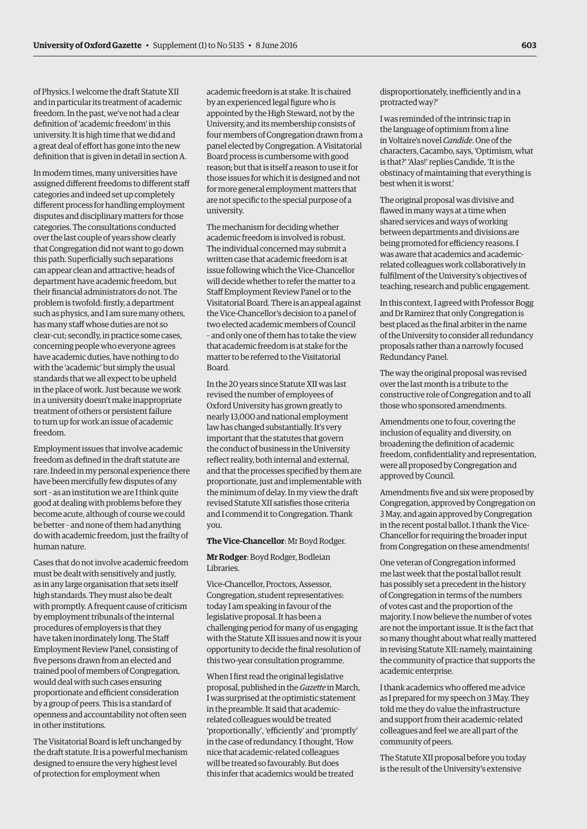of Physics. I welcome the draft Statute XII and in particular its treatment of academic freedom. In the past, we've not had a clear definition of 'academic freedom' in this university. It is high time that we did and a great deal of effort has gone into the new definition that is given in detail in section A.

In modern times, many universities have assigned different freedoms to different staff categories and indeed set up completely different process for handling employment disputes and disciplinary matters for those categories. The consultations conducted over the last couple of years show clearly that Congregation did not want to go down this path. Superficially such separations can appear clean and attractive; heads of department have academic freedom, but their financial administrators do not. The problem is twofold: firstly, a department such as physics, and I am sure many others, has many staff whose duties are not so clear-cut; secondly, in practice some cases, concerning people who everyone agrees have academic duties, have nothing to do with the 'academic' but simply the usual standards that we all expect to be upheld in the place of work. Just because we work in a university doesn't make inappropriate treatment of others or persistent failure to turn up for work an issue of academic freedom.

Employment issues that involve academic freedom as defined in the draft statute are rare. Indeed in my personal experience there have been mercifully few disputes of any sort – as an institution we are I think quite good at dealing with problems before they become acute, although of course we could be better – and none of them had anything do with academic freedom, just the frailty of human nature.

Cases that do not involve academic freedom must be dealt with sensitively and justly, as in any large organisation that sets itself high standards. They must also be dealt with promptly. A frequent cause of criticism by employment tribunals of the internal procedures of employers is that they have taken inordinately long. The Staff Employment Review Panel, consisting of five persons drawn from an elected and trained pool of members of Congregation, would deal with such cases ensuring proportionate and efficient consideration by a group of peers. This is a standard of openness and accountability not often seen in other institutions.

The Visitatorial Board is left unchanged by the draft statute. It is a powerful mechanism designed to ensure the very highest level of protection for employment when

academic freedom is at stake. It is chaired by an experienced legal figure who is appointed by the High Steward, not by the University, and its membership consists of four members of Congregation drawn from a panel elected by Congregation. A Visitatorial Board process is cumbersome with good reason; but that is itself a reason to use it for those issues for which it is designed and not for more general employment matters that are not specific to the special purpose of a university.

The mechanism for deciding whether academic freedom is involved is robust. The individual concerned may submit a written case that academic freedom is at issue following which the Vice-Chancellor will decide whether to refer the matter to a Staff Employment Review Panel or to the Visitatorial Board. There is an appeal against the Vice-Chancellor's decision to a panel of two elected academic members of Council – and only one of them has to take the view that academic freedom is at stake for the matter to be referred to the Visitatorial Board.

In the 20 years since Statute XII was last revised the number of employees of Oxford University has grown greatly to nearly 13,000 and national employment law has changed substantially. It's very important that the statutes that govern the conduct of business in the University reflect reality, both internal and external, and that the processes specified by them are proportionate, just and implementable with the minimum of delay. In my view the draft revised Statute XII satisfies those criteria and I commend it to Congregation. Thank you.

#### **The Vice-Chancellor**: Mr Boyd Rodger.

# **Mr Rodger**: Boyd Rodger, Bodleian Libraries.

Vice-Chancellor, Proctors, Assessor, Congregation, student representatives: today I am speaking in favour of the legislative proposal. It has been a challenging period for many of us engaging with the Statute XII issues and now it is your opportunity to decide the final resolution of this two-year consultation programme.

When I first read the original legislative proposal, published in the *Gazette* in March, I was surprised at the optimistic statement in the preamble. It said that academicrelated colleagues would be treated 'proportionally', 'efficiently' and 'promptly' in the case of redundancy. I thought, 'How nice that academic-related colleagues will be treated so favourably. But does this infer that academics would be treated

disproportionately, inefficiently and in a protracted way?'

I was reminded of the intrinsic trap in the language of optimism from a line in Voltaire's novel *Candide*. One of the characters, Cacambo, says, 'Optimism, what is that?' 'Alas!' replies Candide, 'It is the obstinacy of maintaining that everything is best when it is worst.'

The original proposal was divisive and flawed in many ways at a time when shared services and ways of working between departments and divisions are being promoted for efficiency reasons. I was aware that academics and academicrelated colleagues work collaboratively in fulfilment of the University's objectives of teaching, research and public engagement.

In this context, I agreed with Professor Bogg and Dr Ramirez that only Congregation is best placed as the final arbiter in the name of the University to consider all redundancy proposals rather than a narrowly focused Redundancy Panel.

The way the original proposal was revised over the last month is a tribute to the constructive role of Congregation and to all those who sponsored amendments.

Amendments one to four, covering the inclusion of equality and diversity, on broadening the definition of academic freedom, confidentiality and representation, were all proposed by Congregation and approved by Council.

Amendments five and six were proposed by Congregation, approved by Congregation on 3 May, and again approved by Congregation in the recent postal ballot. I thank the Vice-Chancellor for requiring the broader input from Congregation on these amendments!

One veteran of Congregation informed me last week that the postal ballot result has possibly set a precedent in the history of Congregation in terms of the numbers of votes cast and the proportion of the majority. I now believe the number of votes are not the important issue. It is the fact that so many thought about what really mattered in revising Statute XII: namely, maintaining the community of practice that supports the academic enterprise.

I thank academics who offered me advice as I prepared for my speech on 3 May. They told me they do value the infrastructure and support from their academic-related colleagues and feel we are all part of the community of peers.

The Statute XII proposal before you today is the result of the University's extensive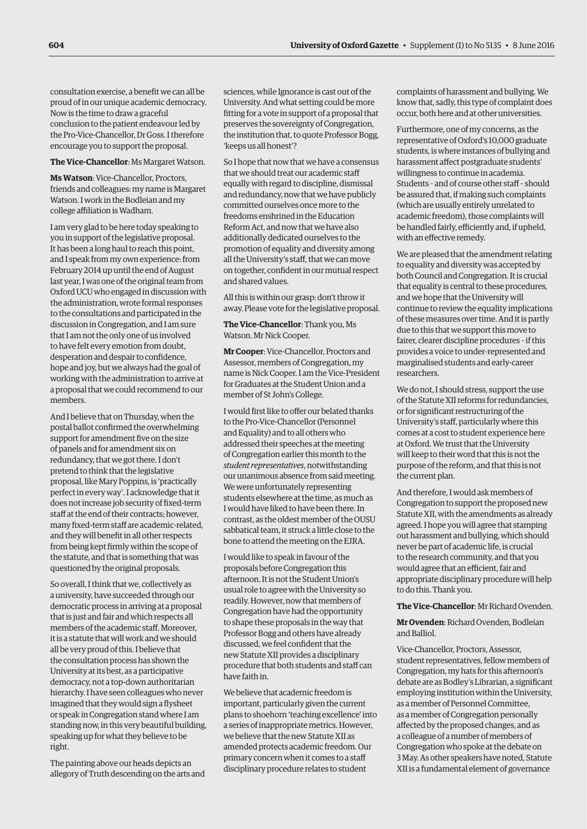consultation exercise, a benefit we can all be proud of in our unique academic democracy. Now is the time to draw a graceful conclusion to the patient endeavour led by the Pro-Vice-Chancellor, Dr Goss. I therefore encourage you to support the proposal.

#### **The Vice-Chancellor**: Ms Margaret Watson.

**Ms Watson**: Vice-Chancellor, Proctors, friends and colleagues: my name is Margaret Watson. I work in the Bodleian and my college affiliation is Wadham.

I am very glad to be here today speaking to you in support of the legislative proposal. It has been a long haul to reach this point, and I speak from my own experience: from February 2014 up until the end of August last year, I was one of the original team from Oxford UCU who engaged in discussion with the administration, wrote formal responses to the consultations and participated in the discussion in Congregation, and I am sure that I am not the only one of us involved to have felt every emotion from doubt, desperation and despair to confidence, hope and joy, but we always had the goal of working with the administration to arrive at a proposal that we could recommend to our members.

And I believe that on Thursday, when the postal ballot confirmed the overwhelming support for amendment five on the size of panels and for amendment six on redundancy, that we got there. I don't pretend to think that the legislative proposal, like Mary Poppins, is 'practically perfect in every way'. I acknowledge that it does not increase job security of fixed-term staff at the end of their contracts; however, many fixed-term staff are academic-related, and they will benefit in all other respects from being kept firmly within the scope of the statute, and that is something that was questioned by the original proposals.

So overall, I think that we, collectively as a university, have succeeded through our democratic process in arriving at a proposal that is just and fair and which respects all members of the academic staff. Moreover, it is a statute that will work and we should all be very proud of this. I believe that the consultation process has shown the University at its best, as a participative democracy, not a top-down authoritarian hierarchy. I have seen colleagues who never imagined that they would sign a flysheet or speak in Congregation stand where I am standing now, in this very beautiful building, speaking up for what they believe to be right.

The painting above our heads depicts an allegory of Truth descending on the arts and sciences, while Ignorance is cast out of the University. And what setting could be more fitting for a vote in support of a proposal that preserves the sovereignty of Congregation, the institution that, to quote Professor Bogg, 'keeps us all honest'?

So I hope that now that we have a consensus that we should treat our academic staff equally with regard to discipline, dismissal and redundancy, now that we have publicly committed ourselves once more to the freedoms enshrined in the Education Reform Act, and now that we have also additionally dedicated ourselves to the promotion of equality and diversity among all the University's staff, that we can move on together, confident in our mutual respect and shared values.

All this is within our grasp: don't throw it away. Please vote for the legislative proposal.

**The Vice-Chancellor**: Thank you, Ms Watson. Mr Nick Cooper.

**Mr Cooper**: Vice-Chancellor, Proctors and Assessor, members of Congregation, my name is Nick Cooper. I am the Vice-President for Graduates at the Student Union and a member of St John's College.

I would first like to offer our belated thanks to the Pro-Vice-Chancellor (Personnel and Equality) and to all others who addressed their speeches at the meeting of Congregation earlier this month to the *student representatives*, notwithstanding our unanimous absence from said meeting. We were unfortunately representing students elsewhere at the time, as much as I would have liked to have been there. In contrast, as the oldest member of the OUSU sabbatical team, it struck a little close to the bone to attend the meeting on the EJRA.

I would like to speak in favour of the proposals before Congregation this afternoon. It is not the Student Union's usual role to agree with the University so readily. However, now that members of Congregation have had the opportunity to shape these proposals in the way that Professor Bogg and others have already discussed, we feel confident that the new Statute XII provides a disciplinary procedure that both students and staff can have faith in.

We believe that academic freedom is important, particularly given the current plans to shoehorn 'teaching excellence' into a series of inappropriate metrics. However, we believe that the new Statute XII as amended protects academic freedom. Our primary concern when it comes to a staff disciplinary procedure relates to student

complaints of harassment and bullying. We know that, sadly, this type of complaint does occur, both here and at other universities.

Furthermore, one of my concerns, as the representative of Oxford's 10,000 graduate students, is where instances of bullying and harassment affect postgraduate students' willingness to continue in academia. Students – and of course other staff – should be assured that, if making such complaints (which are usually entirely unrelated to academic freedom), those complaints will be handled fairly, efficiently and, if upheld, with an effective remedy.

We are pleased that the amendment relating to equality and diversity was accepted by both Council and Congregation. It is crucial that equality is central to these procedures, and we hope that the University will continue to review the equality implications of these measures over time. And it is partly due to this that we support this move to fairer, clearer discipline procedures – if this provides a voice to under-represented and marginalised students and early-career researchers.

We do not, I should stress, support the use of the Statute XII reforms for redundancies, or for significant restructuring of the University's staff, particularly where this comes at a cost to student experience here at Oxford. We trust that the University will keep to their word that this is not the purpose of the reform, and that this is not the current plan.

And therefore, I would ask members of Congregation to support the proposed new Statute XII, with the amendments as already agreed. I hope you will agree that stamping out harassment and bullying, which should never be part of academic life, is crucial to the research community, and that you would agree that an efficient, fair and appropriate disciplinary procedure will help to do this. Thank you.

**The Vice-Chancellor**: Mr Richard Ovenden.

**Mr Ovenden**: Richard Ovenden, Bodleian and Balliol.

Vice-Chancellor, Proctors, Assessor, student representatives, fellow members of Congregation, my hats for this afternoon's debate are as Bodley's Librarian, a significant employing institution within the University, as a member of Personnel Committee, as a member of Congregation personally affected by the proposed changes, and as a colleague of a number of members of Congregation who spoke at the debate on 3 May. As other speakers have noted, Statute XII is a fundamental element of governance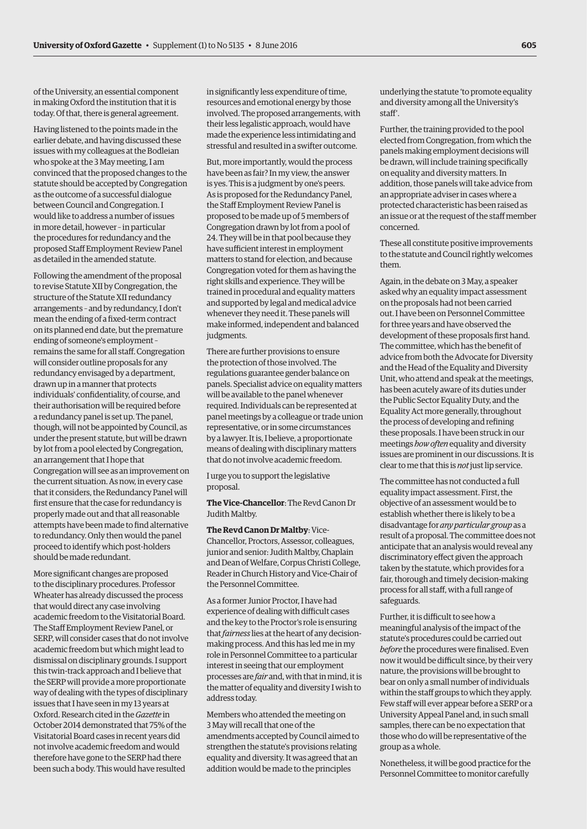of the University, an essential component in making Oxford the institution that it is today. Of that, there is general agreement.

Having listened to the points made in the earlier debate, and having discussed these issues with my colleagues at the Bodleian who spoke at the 3 May meeting, I am convinced that the proposed changes to the statute should be accepted by Congregation as the outcome of a successful dialogue between Council and Congregation. I would like to address a number of issues in more detail, however – in particular the procedures for redundancy and the proposed Staff Employment Review Panel as detailed in the amended statute.

Following the amendment of the proposal to revise Statute XII by Congregation, the structure of the Statute XII redundancy arrangements – and by redundancy, I don't mean the ending of a fixed-term contract on its planned end date, but the premature ending of someone's employment – remains the same for all staff. Congregation will consider outline proposals for any redundancy envisaged by a department, drawn up in a manner that protects individuals' confidentiality, of course, and their authorisation will be required before a redundancy panel is set up. The panel, though, will not be appointed by Council, as under the present statute, but will be drawn by lot from a pool elected by Congregation, an arrangement that I hope that Congregation will see as an improvement on the current situation. As now, in every case that it considers, the Redundancy Panel will first ensure that the case for redundancy is properly made out and that all reasonable attempts have been made to find alternative to redundancy. Only then would the panel proceed to identify which post-holders should be made redundant.

More significant changes are proposed to the disciplinary procedures. Professor Wheater has already discussed the process that would direct any case involving academic freedom to the Visitatorial Board. The Staff Employment Review Panel, or SERP, will consider cases that do not involve academic freedom but which might lead to dismissal on disciplinary grounds. I support this twin-track approach and I believe that the SERP will provide a more proportionate way of dealing with the types of disciplinary issues that I have seen in my 13 years at Oxford. Research cited in the *Gazette* in October 2014 demonstrated that 75% of the Visitatorial Board cases in recent years did not involve academic freedom and would therefore have gone to the SERP had there been such a body. This would have resulted

in significantly less expenditure of time, resources and emotional energy by those involved. The proposed arrangements, with their less legalistic approach, would have made the experience less intimidating and stressful and resulted in a swifter outcome.

But, more importantly, would the process have been as fair? In my view, the answer is yes. This is a judgment by one's peers. As is proposed for the Redundancy Panel, the Staff Employment Review Panel is proposed to be made up of 5 members of Congregation drawn by lot from a pool of 24. They will be in that pool because they have sufficient interest in employment matters to stand for election, and because Congregation voted for them as having the right skills and experience. They will be trained in procedural and equality matters and supported by legal and medical advice whenever they need it. These panels will make informed, independent and balanced judgments.

There are further provisions to ensure the protection of those involved. The regulations guarantee gender balance on panels. Specialist advice on equality matters will be available to the panel whenever required. Individuals can be represented at panel meetings by a colleague or trade union representative, or in some circumstances by a lawyer. It is, I believe, a proportionate means of dealing with disciplinary matters that do not involve academic freedom.

I urge you to support the legislative proposal.

**The Vice-Chancellor**: The Revd Canon Dr Judith Maltby.

**The Revd Canon Dr Maltby**: Vice-Chancellor, Proctors, Assessor, colleagues, junior and senior: Judith Maltby, Chaplain and Dean of Welfare, Corpus Christi College, Reader in Church History and Vice-Chair of the Personnel Committee.

As a former Junior Proctor, I have had experience of dealing with difficult cases and the key to the Proctor's role is ensuring that *fairness* lies at the heart of any decisionmaking process. And this has led me in my role in Personnel Committee to a particular interest in seeing that our employment processes are *fair* and, with that in mind, it is the matter of equality and diversity I wish to address today.

Members who attended the meeting on 3 May will recall that one of the amendments accepted by Council aimed to strengthen the statute's provisions relating equality and diversity. It was agreed that an addition would be made to the principles

underlying the statute 'to promote equality and diversity among all the University's staff'.

Further, the training provided to the pool elected from Congregation, from which the panels making employment decisions will be drawn, will include training specifically on equality and diversity matters. In addition, those panels will take advice from an appropriate adviser in cases where a protected characteristic has been raised as an issue or at the request of the staff member concerned.

These all constitute positive improvements to the statute and Council rightly welcomes them.

Again, in the debate on 3 May, a speaker asked why an equality impact assessment on the proposals had not been carried out. I have been on Personnel Committee for three years and have observed the development of these proposals first hand. The committee, which has the benefit of advice from both the Advocate for Diversity and the Head of the Equality and Diversity Unit, who attend and speak at the meetings, has been acutely aware of its duties under the Public Sector Equality Duty, and the Equality Act more generally, throughout the process of developing and refining these proposals. I have been struck in our meetings *how often* equality and diversity issues are prominent in our discussions. It is clear to me that this is *not* just lip service.

The committee has not conducted a full equality impact assessment. First, the objective of an assessment would be to establish whether there is likely to be a disadvantage for *any particular group* as a result of a proposal. The committee does not anticipate that an analysis would reveal any discriminatory effect given the approach taken by the statute, which provides for a fair, thorough and timely decision-making process for all staff, with a full range of safeguards.

Further, it is difficult to see how a meaningful analysis of the impact of the statute's procedures could be carried out *before* the procedures were finalised. Even now it would be difficult since, by their very nature, the provisions will be brought to bear on only a small number of individuals within the staff groups to which they apply. Few staff will ever appear before a SERP or a University Appeal Panel and, in such small samples, there can be no expectation that those who do will be representative of the group as a whole.

Nonetheless, it will be good practice for the Personnel Committee to monitor carefully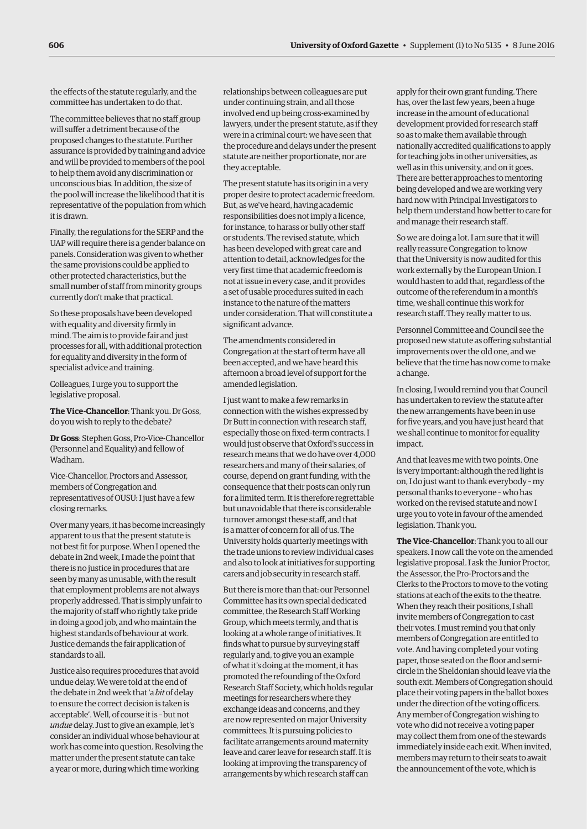the effects of the statute regularly, and the committee has undertaken to do that.

The committee believes that no staff group will suffer a detriment because of the proposed changes to the statute. Further assurance is provided by training and advice and will be provided to members of the pool to help them avoid any discrimination or unconscious bias. In addition, the size of the pool will increase the likelihood that it is representative of the population from which it is drawn.

Finally, the regulations for the SERP and the UAP will require there is a gender balance on panels. Consideration was given to whether the same provisions could be applied to other protected characteristics, but the small number of staff from minority groups currently don't make that practical.

So these proposals have been developed with equality and diversity firmly in mind. The aim is to provide fair and just processes for all, with additional protection for equality and diversity in the form of specialist advice and training.

Colleagues, I urge you to support the legislative proposal.

**The Vice-Chancellor**: Thank you. Dr Goss, do you wish to reply to the debate?

**Dr Goss**: Stephen Goss, Pro-Vice-Chancellor (Personnel and Equality) and fellow of Wadham.

Vice-Chancellor, Proctors and Assessor, members of Congregation and representatives of OUSU: I just have a few closing remarks.

Over many years, it has become increasingly apparent to us that the present statute is not best fit for purpose. When I opened the debate in 2nd week, I made the point that there is no justice in procedures that are seen by many as unusable, with the result that employment problems are not always properly addressed. That is simply unfair to the majority of staff who rightly take pride in doing a good job, and who maintain the highest standards of behaviour at work. Justice demands the fair application of standards to all.

Justice also requires procedures that avoid undue delay. We were told at the end of the debate in 2nd week that 'a *bit* of delay to ensure the correct decision is taken is acceptable'. Well, of course it is – but not *undue* delay. Just to give an example, let's consider an individual whose behaviour at work has come into question. Resolving the matter under the present statute can take a year or more, during which time working

relationships between colleagues are put under continuing strain, and all those involved end up being cross-examined by lawyers, under the present statute, as if they were in a criminal court: we have seen that the procedure and delays under the present statute are neither proportionate, nor are they acceptable.

The present statute has its origin in a very proper desire to protect academic freedom. But, as we've heard, having academic responsibilities does not imply a licence, for instance, to harass or bully other staff or students. The revised statute, which has been developed with great care and attention to detail, acknowledges for the very first time that academic freedom is not at issue in every case, and it provides a set of usable procedures suited in each instance to the nature of the matters under consideration. That will constitute a significant advance.

The amendments considered in Congregation at the start of term have all been accepted, and we have heard this afternoon a broad level of support for the amended legislation.

I just want to make a few remarks in connection with the wishes expressed by Dr Butt in connection with research staff, especially those on fixed-term contracts. I would just observe that Oxford's success in research means that we do have over 4,000 researchers and many of their salaries, of course, depend on grant funding, with the consequence that their posts can only run for a limited term. It is therefore regrettable but unavoidable that there is considerable turnover amongst these staff, and that is a matter of concern for all of us. The University holds quarterly meetings with the trade unions to review individual cases and also to look at initiatives for supporting carers and job security in research staff.

But there is more than that: our Personnel Committee has its own special dedicated committee, the Research Staff Working Group, which meets termly, and that is looking at a whole range of initiatives. It finds what to pursue by surveying staff regularly and, to give you an example of what it's doing at the moment, it has promoted the refounding of the Oxford Research Staff Society, which holds regular meetings for researchers where they exchange ideas and concerns, and they are now represented on major University committees. It is pursuing policies to facilitate arrangements around maternity leave and carer leave for research staff. It is looking at improving the transparency of arrangements by which research staff can

apply for their own grant funding. There has, over the last few years, been a huge increase in the amount of educational development provided for research staff so as to make them available through nationally accredited qualifications to apply for teaching jobs in other universities, as well as in this university, and on it goes. There are better approaches to mentoring being developed and we are working very hard now with Principal Investigators to help them understand how better to care for and manage their research staff.

So we are doing a lot. I am sure that it will really reassure Congregation to know that the University is now audited for this work externally by the European Union. I would hasten to add that, regardless of the outcome of the referendum in a month's time, we shall continue this work for research staff. They really matter to us.

Personnel Committee and Council see the proposed new statute as offering substantial improvements over the old one, and we believe that the time has now come to make a change.

In closing, I would remind you that Council has undertaken to review the statute after the new arrangements have been in use for five years, and you have just heard that we shall continue to monitor for equality impact.

And that leaves me with two points. One is very important: although the red light is on, I do just want to thank everybody – my personal thanks to everyone – who has worked on the revised statute and now I urge you to vote in favour of the amended legislation. Thank you.

**The Vice-Chancellor**: Thank you to all our speakers. I now call the vote on the amended legislative proposal. I ask the Junior Proctor, the Assessor, the Pro-Proctors and the Clerks to the Proctors to move to the voting stations at each of the exits to the theatre. When they reach their positions, I shall invite members of Congregation to cast their votes. I must remind you that only members of Congregation are entitled to vote. And having completed your voting paper, those seated on the floor and semicircle in the Sheldonian should leave via the south exit. Members of Congregation should place their voting papers in the ballot boxes under the direction of the voting officers. Any member of Congregation wishing to vote who did not receive a voting paper may collect them from one of the stewards immediately inside each exit. When invited, members may return to their seats to await the announcement of the vote, which is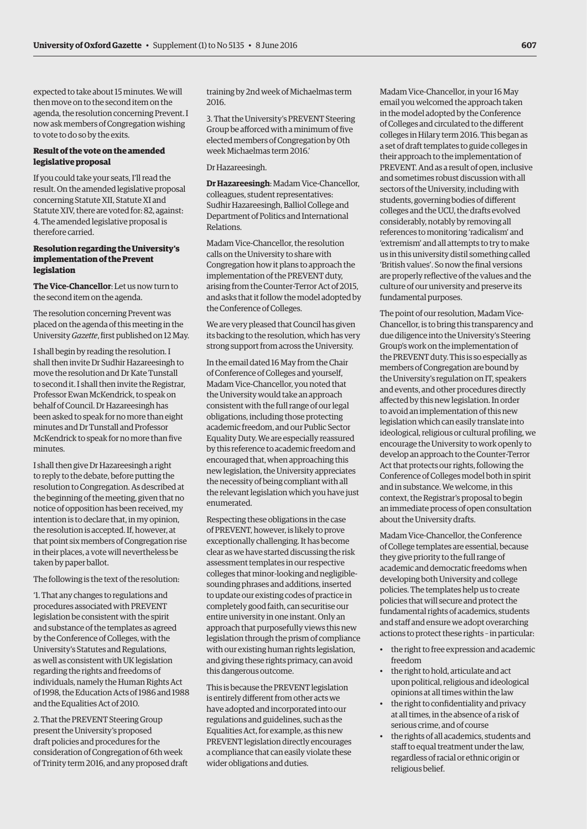expected to take about 15 minutes. We will then move on to the second item on the agenda, the resolution concerning Prevent. I now ask members of Congregation wishing to vote to do so by the exits.

# **Result of the vote on the amended legislative proposal**

If you could take your seats, I'll read the result. On the amended legislative proposal concerning Statute XII, Statute XI and Statute XIV, there are voted for: 82, against: 4. The amended legislative proposal is therefore carried.

# **Resolution regarding the University's implementation of the Prevent legislation**

**The Vice-Chancellor**: Let us now turn to the second item on the agenda.

The resolution concerning Prevent was placed on the agenda of this meeting in the University *Gazette*, first published on 12 May.

I shall begin by reading the resolution. I shall then invite Dr Sudhir Hazareesingh to move the resolution and Dr Kate Tunstall to second it. I shall then invite the Registrar, Professor Ewan McKendrick, to speak on behalf of Council. Dr Hazareesingh has been asked to speak for no more than eight minutes and Dr Tunstall and Professor McKendrick to speak for no more than five minutes.

I shall then give Dr Hazareesingh a right to reply to the debate, before putting the resolution to Congregation. As described at the beginning of the meeting, given that no notice of opposition has been received, my intention is to declare that, in my opinion, the resolution is accepted. If, however, at that point six members of Congregation rise in their places, a vote will nevertheless be taken by paper ballot.

The following is the text of the resolution:

'1. That any changes to regulations and procedures associated with PREVENT legislation be consistent with the spirit and substance of the templates as agreed by the Conference of Colleges, with the University's Statutes and Regulations, as well as consistent with UK legislation regarding the rights and freedoms of individuals, namely the Human Rights Act of 1998, the Education Acts of 1986 and 1988 and the Equalities Act of 2010.

2. That the PREVENT Steering Group present the University's proposed draft policies and procedures for the consideration of Congregation of 6th week of Trinity term 2016, and any proposed draft training by 2nd week of Michaelmas term 2016.

3. That the University's PREVENT Steering Group be afforced with a minimum of five elected members of Congregation by 0th week Michaelmas term 2016.'

Dr Hazareesingh.

**Dr Hazareesingh**: Madam Vice-Chancellor, colleagues, student representatives: Sudhir Hazareesingh, Balliol College and Department of Politics and International Relations.

Madam Vice-Chancellor, the resolution calls on the University to share with Congregation how it plans to approach the implementation of the PREVENT duty, arising from the Counter-Terror Act of 2015, and asks that it follow the model adopted by the Conference of Colleges.

We are very pleased that Council has given its backing to the resolution, which has very strong support from across the University.

In the email dated 16 May from the Chair of Conference of Colleges and yourself, Madam Vice-Chancellor, you noted that the University would take an approach consistent with the full range of our legal obligations, including those protecting academic freedom, and our Public Sector Equality Duty. We are especially reassured by this reference to academic freedom and encouraged that, when approaching this new legislation, the University appreciates the necessity of being compliant with all the relevant legislation which you have just enumerated.

Respecting these obligations in the case of PREVENT, however, is likely to prove exceptionally challenging. It has become clear as we have started discussing the risk assessment templates in our respective colleges that minor-looking and negligiblesounding phrases and additions, inserted to update our existing codes of practice in completely good faith, can securitise our entire university in one instant. Only an approach that purposefully views this new legislation through the prism of compliance with our existing human rights legislation, and giving these rights primacy, can avoid this dangerous outcome.

This is because the PREVENT legislation is entirely different from other acts we have adopted and incorporated into our regulations and guidelines, such as the Equalities Act, for example, as this new PREVENT legislation directly encourages a compliance that can easily violate these wider obligations and duties.

Madam Vice-Chancellor, in your 16 May email you welcomed the approach taken in the model adopted by the Conference of Colleges and circulated to the different colleges in Hilary term 2016. This began as a set of draft templates to guide colleges in their approach to the implementation of PREVENT. And as a result of open, inclusive and sometimes robust discussion with all sectors of the University, including with students, governing bodies of different colleges and the UCU, the drafts evolved considerably, notably by removing all references to monitoring 'radicalism' and 'extremism' and all attempts to try to make us in this university distil something called 'British values'. So now the final versions are properly reflective of the values and the culture of our university and preserve its fundamental purposes.

The point of our resolution, Madam Vice-Chancellor, is to bring this transparency and due diligence into the University's Steering Group's work on the implementation of the PREVENT duty. This is so especially as members of Congregation are bound by the University's regulation on IT, speakers and events, and other procedures directly affected by this new legislation. In order to avoid an implementation of this new legislation which can easily translate into ideological, religious or cultural profiling, we encourage the University to work openly to develop an approach to the Counter-Terror Act that protects our rights, following the Conference of Colleges model both in spirit and in substance. We welcome, in this context, the Registrar's proposal to begin an immediate process of open consultation about the University drafts.

Madam Vice-Chancellor, the Conference of College templates are essential, because they give priority to the full range of academic and democratic freedoms when developing both University and college policies. The templates help us to create policies that will secure and protect the fundamental rights of academics, students and staff and ensure we adopt overarching actions to protect these rights – in particular:

- the right to free expression and academic freedom
- the right to hold, articulate and act upon political, religious and ideological opinions at all times within the law
- the right to confidentiality and privacy at all times, in the absence of a risk of serious crime, and of course
- the rights of all academics, students and staff to equal treatment under the law, regardless of racial or ethnic origin or religious belief.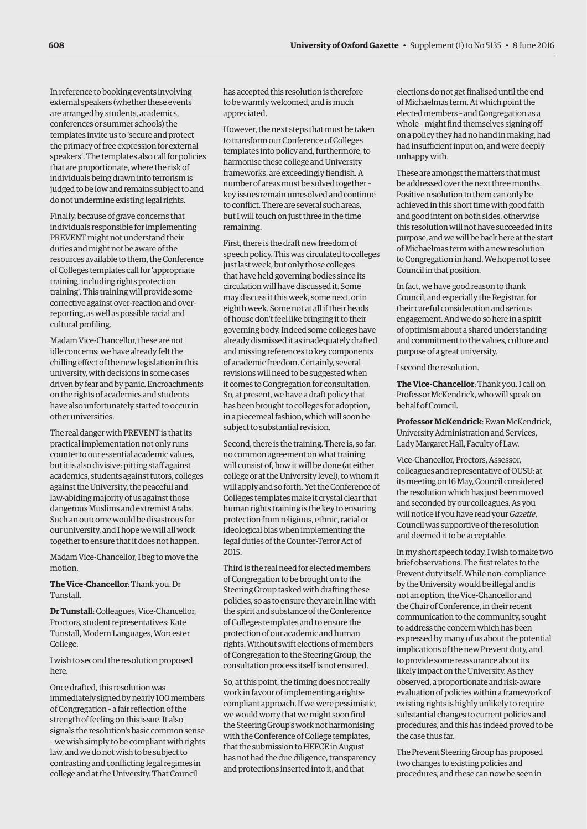In reference to booking events involving external speakers (whether these events are arranged by students, academics, conferences or summer schools) the templates invite us to 'secure and protect the primacy of free expression for external speakers'. The templates also call for policies that are proportionate, where the risk of individuals being drawn into terrorism is judged to be low and remains subject to and do not undermine existing legal rights.

Finally, because of grave concerns that individuals responsible for implementing PREVENT might not understand their duties and might not be aware of the resources available to them, the Conference of Colleges templates call for 'appropriate training, including rights protection training'. This training will provide some corrective against over-reaction and overreporting, as well as possible racial and cultural profiling.

Madam Vice-Chancellor, these are not idle concerns: we have already felt the chilling effect of the new legislation in this university, with decisions in some cases driven by fear and by panic. Encroachments on the rights of academics and students have also unfortunately started to occur in other universities.

The real danger with PREVENT is that its practical implementation not only runs counter to our essential academic values, but it is also divisive: pitting staff against academics, students against tutors, colleges against the University, the peaceful and law-abiding majority of us against those dangerous Muslims and extremist Arabs. Such an outcome would be disastrous for our university, and I hope we will all work together to ensure that it does not happen.

Madam Vice-Chancellor, I beg to move the motion.

**The Vice-Chancellor**: Thank you. Dr Tunstall.

**Dr Tunstall**: Colleagues, Vice-Chancellor, Proctors, student representatives: Kate Tunstall, Modern Languages, Worcester College.

I wish to second the resolution proposed here.

Once drafted, this resolution was immediately signed by nearly 100 members of Congregation – a fair reflection of the strength of feeling on this issue. It also signals the resolution's basic common sense – we wish simply to be compliant with rights law, and we do not wish to be subject to contrasting and conflicting legal regimes in college and at the University. That Council

has accepted this resolution is therefore to be warmly welcomed, and is much appreciated.

However, the next steps that must be taken to transform our Conference of Colleges templates into policy and, furthermore, to harmonise these college and University frameworks, are exceedingly fiendish. A number of areas must be solved together – key issues remain unresolved and continue to conflict. There are several such areas, but I will touch on just three in the time remaining.

First, there is the draft new freedom of speech policy. This was circulated to colleges just last week, but only those colleges that have held governing bodies since its circulation will have discussed it. Some may discuss it this week, some next, or in eighth week. Some not at all if their heads of house don't feel like bringing it to their governing body. Indeed some colleges have already dismissed it as inadequately drafted and missing references to key components of academic freedom. Certainly, several revisions will need to be suggested when it comes to Congregation for consultation. So, at present, we have a draft policy that has been brought to colleges for adoption, in a piecemeal fashion, which will soon be subject to substantial revision.

Second, there is the training. There is, so far, no common agreement on what training will consist of, how it will be done (at either college or at the University level), to whom it will apply and so forth. Yet the Conference of Colleges templates make it crystal clear that human rights training is the key to ensuring protection from religious, ethnic, racial or ideological bias when implementing the legal duties of the Counter-Terror Act of 2015.

Third is the real need for elected members of Congregation to be brought on to the Steering Group tasked with drafting these policies, so as to ensure they are in line with the spirit and substance of the Conference of Colleges templates and to ensure the protection of our academic and human rights. Without swift elections of members of Congregation to the Steering Group, the consultation process itself is not ensured.

So, at this point, the timing does not really work in favour of implementing a rightscompliant approach. If we were pessimistic, we would worry that we might soon find the Steering Group's work not harmonising with the Conference of College templates, that the submission to HEFCE in August has not had the due diligence, transparency and protections inserted into it, and that

elections do not get finalised until the end of Michaelmas term. At which point the elected members – and Congregation as a whole – might find themselves signing off on a policy they had no hand in making, had had insufficient input on, and were deeply unhappy with.

These are amongst the matters that must be addressed over the next three months. Positive resolution to them can only be achieved in this short time with good faith and good intent on both sides, otherwise this resolution will not have succeeded in its purpose, and we will be back here at the start of Michaelmas term with a new resolution to Congregation in hand. We hope not to see Council in that position.

In fact, we have good reason to thank Council, and especially the Registrar, for their careful consideration and serious engagement. And we do so here in a spirit of optimism about a shared understanding and commitment to the values, culture and purpose of a great university.

I second the resolution.

**The Vice-Chancellor**: Thank you. I call on Professor McKendrick, who will speak on behalf of Council.

**Professor McKendrick**: Ewan McKendrick, University Administration and Services, Lady Margaret Hall, Faculty of Law.

Vice-Chancellor, Proctors, Assessor, colleagues and representative of OUSU: at its meeting on 16 May, Council considered the resolution which has just been moved and seconded by our colleagues. As you will notice if you have read your *Gazette*, Council was supportive of the resolution and deemed it to be acceptable.

In my short speech today, I wish to make two brief observations. The first relates to the Prevent duty itself. While non-compliance by the University would be illegal and is not an option, the Vice-Chancellor and the Chair of Conference, in their recent communication to the community, sought to address the concern which has been expressed by many of us about the potential implications of the new Prevent duty, and to provide some reassurance about its likely impact on the University. As they observed, a proportionate and risk-aware evaluation of policies within a framework of existing rights is highly unlikely to require substantial changes to current policies and procedures, and this has indeed proved to be the case thus far.

The Prevent Steering Group has proposed two changes to existing policies and procedures, and these can now be seen in